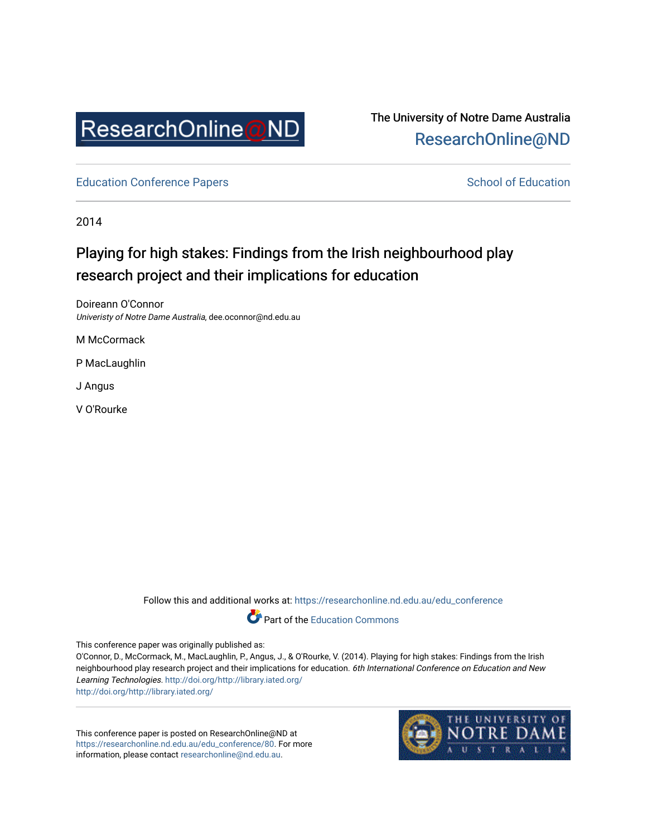

The University of Notre Dame Australia [ResearchOnline@ND](https://researchonline.nd.edu.au/) 

[Education Conference Papers](https://researchonline.nd.edu.au/edu_conference) **School of Education** School of Education

2014

# Playing for high stakes: Findings from the Irish neighbourhood play research project and their implications for education

Doireann O'Connor Univeristy of Notre Dame Australia, dee.oconnor@nd.edu.au

M McCormack

P MacLaughlin

J Angus

V O'Rourke

Follow this and additional works at: [https://researchonline.nd.edu.au/edu\\_conference](https://researchonline.nd.edu.au/edu_conference?utm_source=researchonline.nd.edu.au%2Fedu_conference%2F80&utm_medium=PDF&utm_campaign=PDFCoverPages)



This conference paper was originally published as:

O'Connor, D., McCormack, M., MacLaughlin, P., Angus, J., & O'Rourke, V. (2014). Playing for high stakes: Findings from the Irish neighbourhood play research project and their implications for education. 6th International Conference on Education and New Learning Technologies.<http://doi.org/http://library.iated.org/> <http://doi.org/http://library.iated.org/>

This conference paper is posted on ResearchOnline@ND at [https://researchonline.nd.edu.au/edu\\_conference/80.](https://researchonline.nd.edu.au/edu_conference/80) For more information, please contact [researchonline@nd.edu.au.](mailto:researchonline@nd.edu.au)

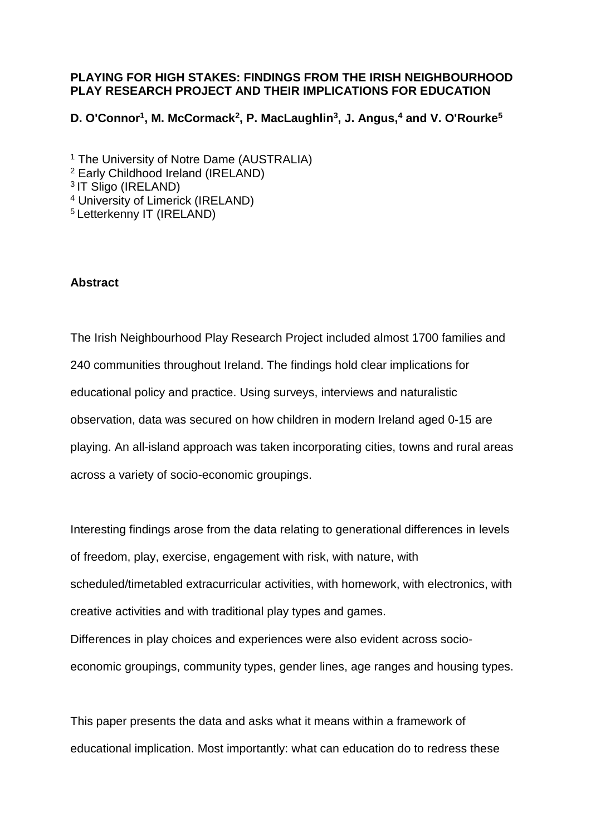# **PLAYING FOR HIGH STAKES: FINDINGS FROM THE IRISH NEIGHBOURHOOD PLAY RESEARCH PROJECT AND THEIR IMPLICATIONS FOR EDUCATION**

**D. O'Connor<sup>1</sup> , M. McCormack<sup>2</sup> , P. MacLaughlin<sup>3</sup> , J. Angus,<sup>4</sup> and V. O'Rourke<sup>5</sup>**

<sup>1</sup> The University of Notre Dame (AUSTRALIA) <sup>2</sup> Early Childhood Ireland (IRELAND) <sup>3</sup> IT Sligo (IRELAND) <sup>4</sup> University of Limerick (IRELAND) <sup>5</sup> Letterkenny IT (IRELAND)

# **Abstract**

The Irish Neighbourhood Play Research Project included almost 1700 families and 240 communities throughout Ireland. The findings hold clear implications for educational policy and practice. Using surveys, interviews and naturalistic observation, data was secured on how children in modern Ireland aged 0-15 are playing. An all-island approach was taken incorporating cities, towns and rural areas across a variety of socio-economic groupings.

Interesting findings arose from the data relating to generational differences in levels of freedom, play, exercise, engagement with risk, with nature, with scheduled/timetabled extracurricular activities, with homework, with electronics, with creative activities and with traditional play types and games. Differences in play choices and experiences were also evident across socioeconomic groupings, community types, gender lines, age ranges and housing types.

This paper presents the data and asks what it means within a framework of educational implication. Most importantly: what can education do to redress these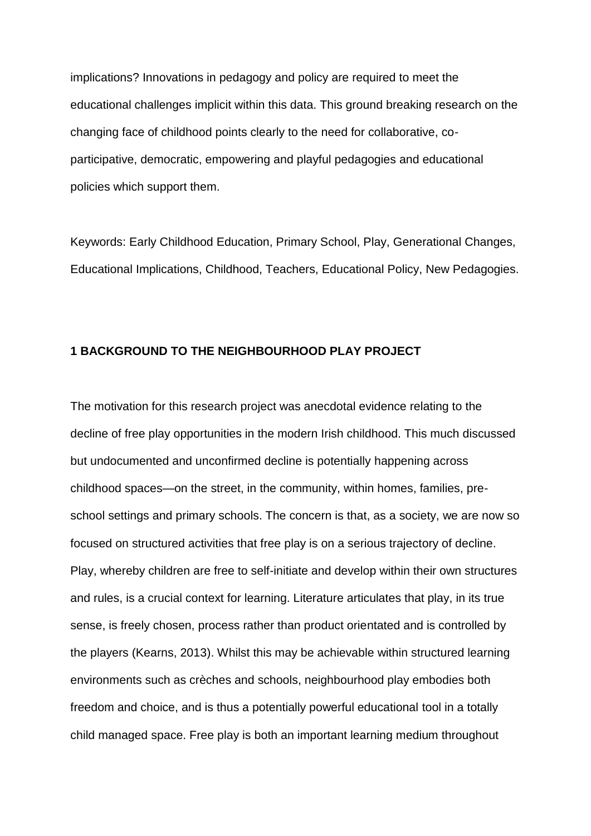implications? Innovations in pedagogy and policy are required to meet the educational challenges implicit within this data. This ground breaking research on the changing face of childhood points clearly to the need for collaborative, coparticipative, democratic, empowering and playful pedagogies and educational policies which support them.

Keywords: Early Childhood Education, Primary School, Play, Generational Changes, Educational Implications, Childhood, Teachers, Educational Policy, New Pedagogies.

#### **1 BACKGROUND TO THE NEIGHBOURHOOD PLAY PROJECT**

The motivation for this research project was anecdotal evidence relating to the decline of free play opportunities in the modern Irish childhood. This much discussed but undocumented and unconfirmed decline is potentially happening across childhood spaces—on the street, in the community, within homes, families, preschool settings and primary schools. The concern is that, as a society, we are now so focused on structured activities that free play is on a serious trajectory of decline. Play, whereby children are free to self-initiate and develop within their own structures and rules, is a crucial context for learning. Literature articulates that play, in its true sense, is freely chosen, process rather than product orientated and is controlled by the players (Kearns, 2013). Whilst this may be achievable within structured learning environments such as crèches and schools, neighbourhood play embodies both freedom and choice, and is thus a potentially powerful educational tool in a totally child managed space. Free play is both an important learning medium throughout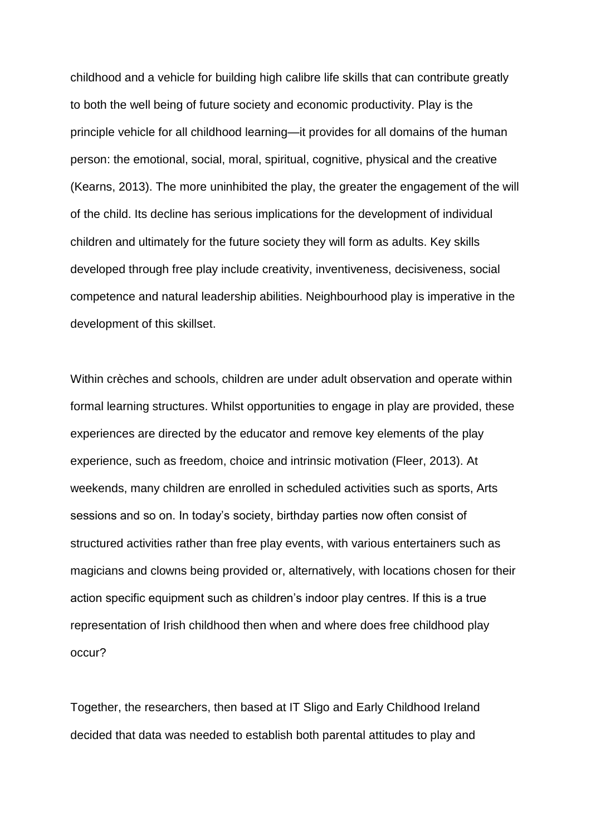childhood and a vehicle for building high calibre life skills that can contribute greatly to both the well being of future society and economic productivity. Play is the principle vehicle for all childhood learning—it provides for all domains of the human person: the emotional, social, moral, spiritual, cognitive, physical and the creative (Kearns, 2013). The more uninhibited the play, the greater the engagement of the will of the child. Its decline has serious implications for the development of individual children and ultimately for the future society they will form as adults. Key skills developed through free play include creativity, inventiveness, decisiveness, social competence and natural leadership abilities. Neighbourhood play is imperative in the development of this skillset.

Within crèches and schools, children are under adult observation and operate within formal learning structures. Whilst opportunities to engage in play are provided, these experiences are directed by the educator and remove key elements of the play experience, such as freedom, choice and intrinsic motivation (Fleer, 2013). At weekends, many children are enrolled in scheduled activities such as sports, Arts sessions and so on. In today's society, birthday parties now often consist of structured activities rather than free play events, with various entertainers such as magicians and clowns being provided or, alternatively, with locations chosen for their action specific equipment such as children's indoor play centres. If this is a true representation of Irish childhood then when and where does free childhood play occur?

Together, the researchers, then based at IT Sligo and Early Childhood Ireland decided that data was needed to establish both parental attitudes to play and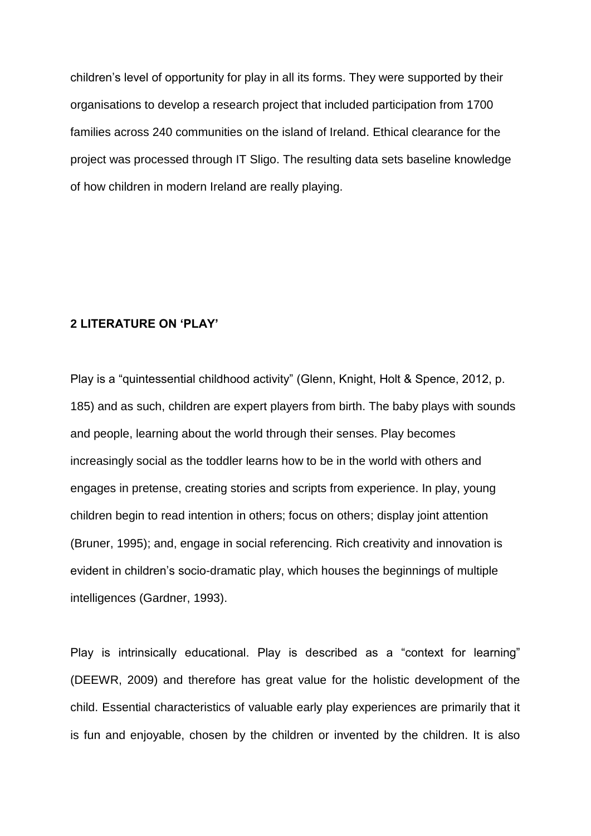children's level of opportunity for play in all its forms. They were supported by their organisations to develop a research project that included participation from 1700 families across 240 communities on the island of Ireland. Ethical clearance for the project was processed through IT Sligo. The resulting data sets baseline knowledge of how children in modern Ireland are really playing.

# **2 LITERATURE ON 'PLAY'**

Play is a "quintessential childhood activity" (Glenn, Knight, Holt & Spence, 2012, p. 185) and as such, children are expert players from birth. The baby plays with sounds and people, learning about the world through their senses. Play becomes increasingly social as the toddler learns how to be in the world with others and engages in pretense, creating stories and scripts from experience. In play, young children begin to read intention in others; focus on others; display joint attention (Bruner, 1995); and, engage in social referencing. Rich creativity and innovation is evident in children's socio-dramatic play, which houses the beginnings of multiple intelligences (Gardner, 1993).

Play is intrinsically educational. Play is described as a "context for learning" (DEEWR, 2009) and therefore has great value for the holistic development of the child. Essential characteristics of valuable early play experiences are primarily that it is fun and enjoyable, chosen by the children or invented by the children. It is also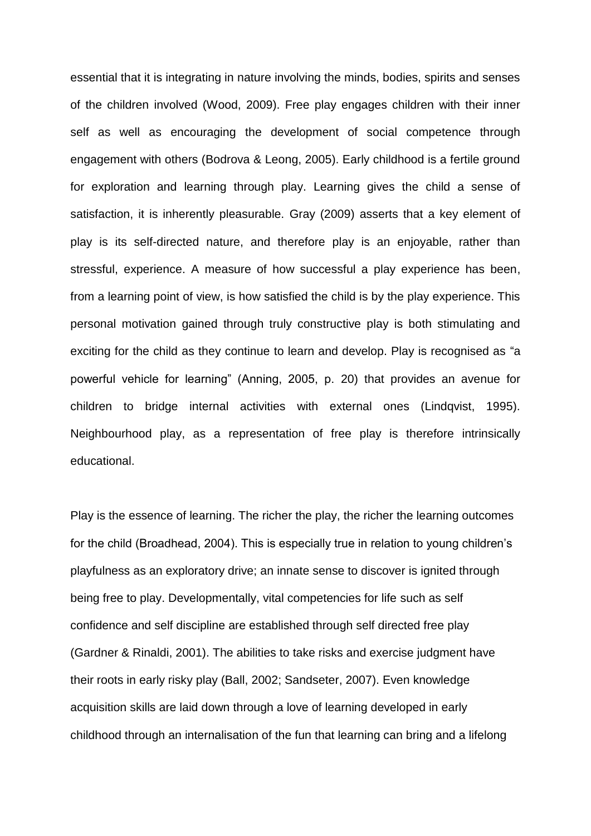essential that it is integrating in nature involving the minds, bodies, spirits and senses of the children involved (Wood, 2009). Free play engages children with their inner self as well as encouraging the development of social competence through engagement with others (Bodrova & Leong, 2005). Early childhood is a fertile ground for exploration and learning through play. Learning gives the child a sense of satisfaction, it is inherently pleasurable. Gray (2009) asserts that a key element of play is its self-directed nature, and therefore play is an enjoyable, rather than stressful, experience. A measure of how successful a play experience has been, from a learning point of view, is how satisfied the child is by the play experience. This personal motivation gained through truly constructive play is both stimulating and exciting for the child as they continue to learn and develop. Play is recognised as "a powerful vehicle for learning" (Anning, 2005, p. 20) that provides an avenue for children to bridge internal activities with external ones (Lindqvist, 1995). Neighbourhood play, as a representation of free play is therefore intrinsically educational.

Play is the essence of learning. The richer the play, the richer the learning outcomes for the child (Broadhead, 2004). This is especially true in relation to young children's playfulness as an exploratory drive; an innate sense to discover is ignited through being free to play. Developmentally, vital competencies for life such as self confidence and self discipline are established through self directed free play (Gardner & Rinaldi, 2001). The abilities to take risks and exercise judgment have their roots in early risky play (Ball, 2002; Sandseter, 2007). Even knowledge acquisition skills are laid down through a love of learning developed in early childhood through an internalisation of the fun that learning can bring and a lifelong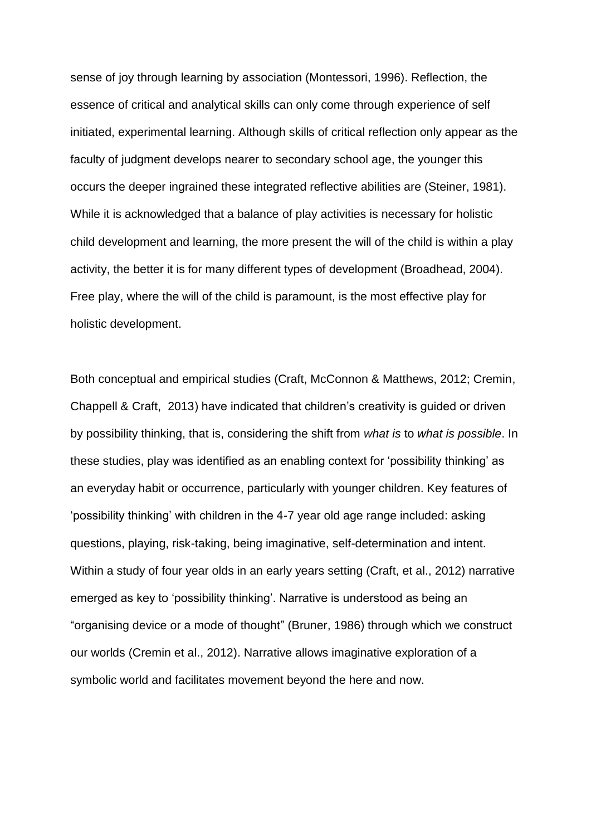sense of joy through learning by association (Montessori, 1996). Reflection, the essence of critical and analytical skills can only come through experience of self initiated, experimental learning. Although skills of critical reflection only appear as the faculty of judgment develops nearer to secondary school age, the younger this occurs the deeper ingrained these integrated reflective abilities are (Steiner, 1981). While it is acknowledged that a balance of play activities is necessary for holistic child development and learning, the more present the will of the child is within a play activity, the better it is for many different types of development (Broadhead, 2004). Free play, where the will of the child is paramount, is the most effective play for holistic development.

Both conceptual and empirical studies (Craft, McConnon & Matthews, 2012; Cremin, Chappell & Craft, 2013) have indicated that children's creativity is guided or driven by possibility thinking, that is, considering the shift from *what is* to *what is possible*. In these studies, play was identified as an enabling context for 'possibility thinking' as an everyday habit or occurrence, particularly with younger children. Key features of 'possibility thinking' with children in the 4-7 year old age range included: asking questions, playing, risk-taking, being imaginative, self-determination and intent. Within a study of four year olds in an early years setting (Craft, et al., 2012) narrative emerged as key to 'possibility thinking'. Narrative is understood as being an "organising device or a mode of thought" (Bruner, 1986) through which we construct our worlds (Cremin et al., 2012). Narrative allows imaginative exploration of a symbolic world and facilitates movement beyond the here and now.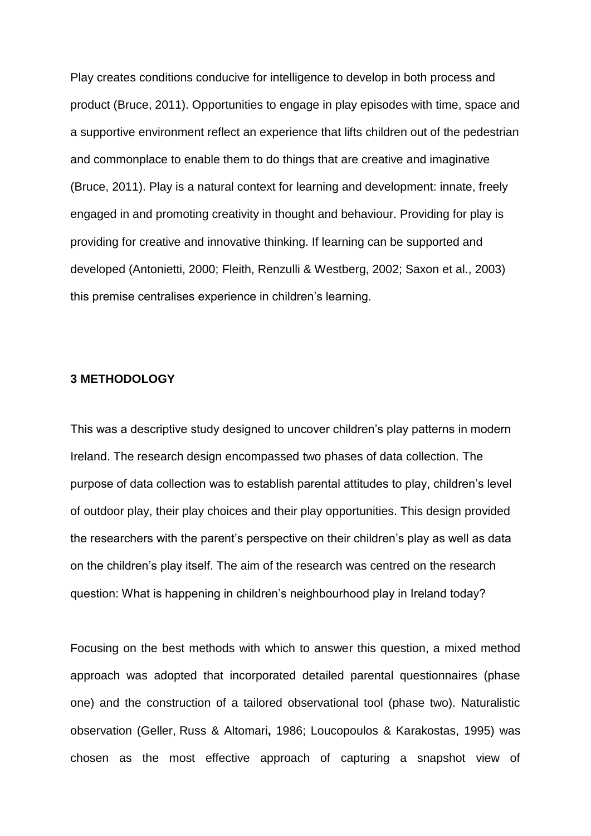Play creates conditions conducive for intelligence to develop in both process and product (Bruce, 2011). Opportunities to engage in play episodes with time, space and a supportive environment reflect an experience that lifts children out of the pedestrian and commonplace to enable them to do things that are creative and imaginative (Bruce, 2011). Play is a natural context for learning and development: innate, freely engaged in and promoting creativity in thought and behaviour. Providing for play is providing for creative and innovative thinking. If learning can be supported and developed (Antonietti, 2000; Fleith, Renzulli & Westberg, 2002; Saxon et al., 2003) this premise centralises experience in children's learning.

#### **3 METHODOLOGY**

This was a descriptive study designed to uncover children's play patterns in modern Ireland. The research design encompassed two phases of data collection. The purpose of data collection was to establish parental attitudes to play, children's level of outdoor play, their play choices and their play opportunities. This design provided the researchers with the parent's perspective on their children's play as well as data on the children's play itself. The aim of the research was centred on the research question: What is happening in children's neighbourhood play in Ireland today?

Focusing on the best methods with which to answer this question, a mixed method approach was adopted that incorporated detailed parental questionnaires (phase one) and the construction of a tailored observational tool (phase two). Naturalistic observation (Geller, Russ & Altomari**,** 1986; Loucopoulos & Karakostas, 1995) was chosen as the most effective approach of capturing a snapshot view of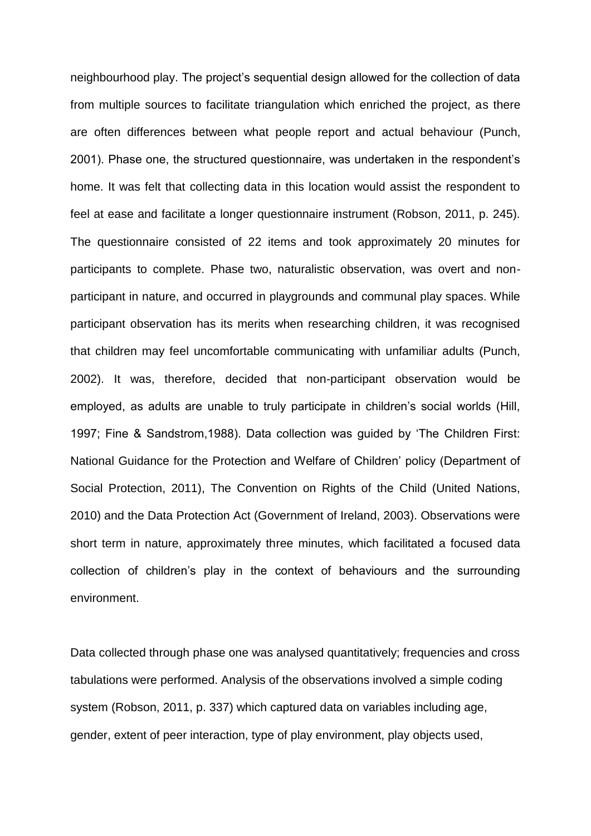neighbourhood play. The project's sequential design allowed for the collection of data from multiple sources to facilitate triangulation which enriched the project, as there are often differences between what people report and actual behaviour (Punch, 2001). Phase one, the structured questionnaire, was undertaken in the respondent's home. It was felt that collecting data in this location would assist the respondent to feel at ease and facilitate a longer questionnaire instrument (Robson, 2011, p. 245). The questionnaire consisted of 22 items and took approximately 20 minutes for participants to complete. Phase two, naturalistic observation, was overt and nonparticipant in nature, and occurred in playgrounds and communal play spaces. While participant observation has its merits when researching children, it was recognised that children may feel uncomfortable communicating with unfamiliar adults (Punch, 2002). It was, therefore, decided that non-participant observation would be employed, as adults are unable to truly participate in children's social worlds (Hill, 1997; Fine & Sandstrom,1988). Data collection was guided by 'The Children First: National Guidance for the Protection and Welfare of Children' policy (Department of Social Protection, 2011), The Convention on Rights of the Child (United Nations, 2010) and the Data Protection Act (Government of Ireland, 2003). Observations were short term in nature, approximately three minutes, which facilitated a focused data collection of children's play in the context of behaviours and the surrounding environment.

Data collected through phase one was analysed quantitatively; frequencies and cross tabulations were performed. Analysis of the observations involved a simple coding system (Robson, 2011, p. 337) which captured data on variables including age, gender, extent of peer interaction, type of play environment, play objects used,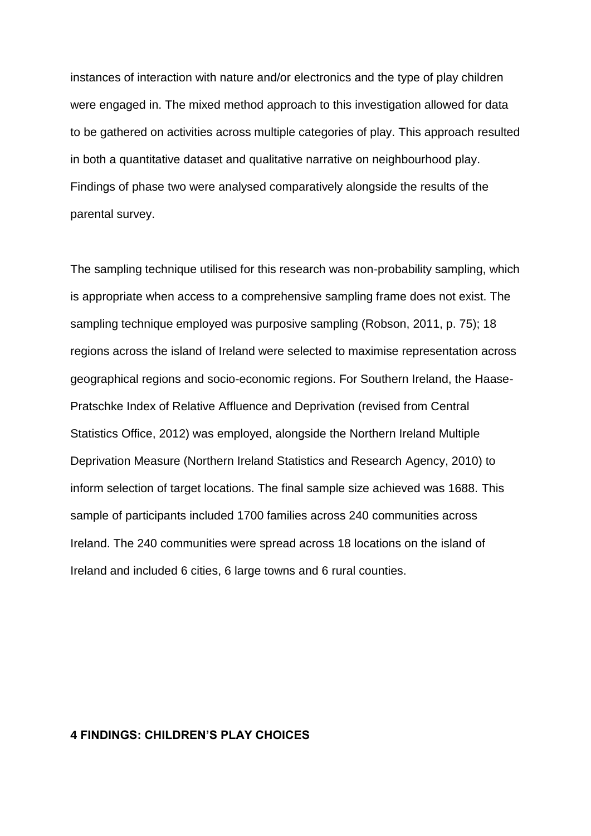instances of interaction with nature and/or electronics and the type of play children were engaged in. The mixed method approach to this investigation allowed for data to be gathered on activities across multiple categories of play. This approach resulted in both a quantitative dataset and qualitative narrative on neighbourhood play. Findings of phase two were analysed comparatively alongside the results of the parental survey.

The sampling technique utilised for this research was non-probability sampling, which is appropriate when access to a comprehensive sampling frame does not exist. The sampling technique employed was purposive sampling (Robson, 2011, p. 75); 18 regions across the island of Ireland were selected to maximise representation across geographical regions and socio-economic regions. For Southern Ireland, the Haase-Pratschke Index of Relative Affluence and Deprivation (revised from Central Statistics Office, 2012) was employed, alongside the Northern Ireland Multiple Deprivation Measure (Northern Ireland Statistics and Research Agency, 2010) to inform selection of target locations. The final sample size achieved was 1688. This sample of participants included 1700 families across 240 communities across Ireland. The 240 communities were spread across 18 locations on the island of Ireland and included 6 cities, 6 large towns and 6 rural counties.

#### **4 FINDINGS: CHILDREN'S PLAY CHOICES**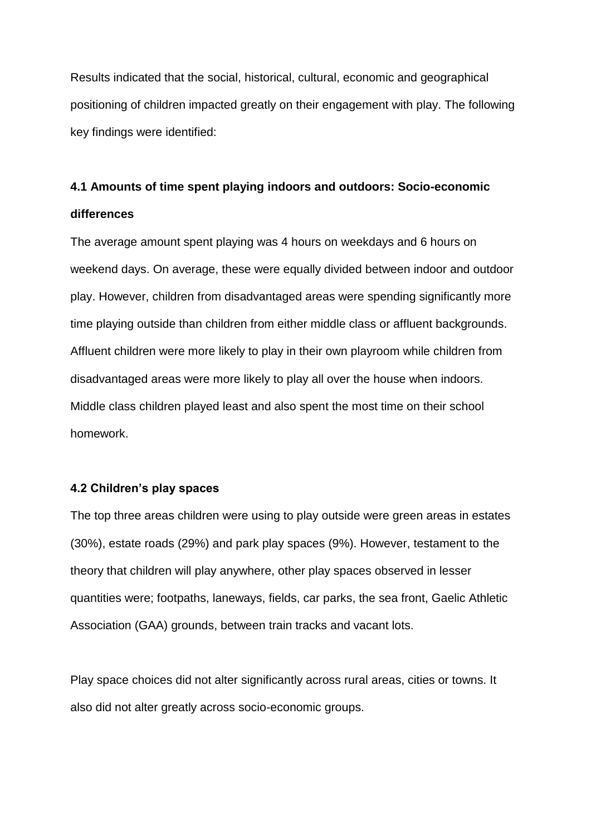Results indicated that the social, historical, cultural, economic and geographical positioning of children impacted greatly on their engagement with play. The following key findings were identified:

# **4.1 Amounts of time spent playing indoors and outdoors: Socio-economic differences**

The average amount spent playing was 4 hours on weekdays and 6 hours on weekend days. On average, these were equally divided between indoor and outdoor play. However, children from disadvantaged areas were spending significantly more time playing outside than children from either middle class or affluent backgrounds. Affluent children were more likely to play in their own playroom while children from disadvantaged areas were more likely to play all over the house when indoors. Middle class children played least and also spent the most time on their school homework.

# **4.2 Children's play spaces**

The top three areas children were using to play outside were green areas in estates (30%), estate roads (29%) and park play spaces (9%). However, testament to the theory that children will play anywhere, other play spaces observed in lesser quantities were; footpaths, laneways, fields, car parks, the sea front, Gaelic Athletic Association (GAA) grounds, between train tracks and vacant lots.

Play space choices did not alter significantly across rural areas, cities or towns. It also did not alter greatly across socio-economic groups.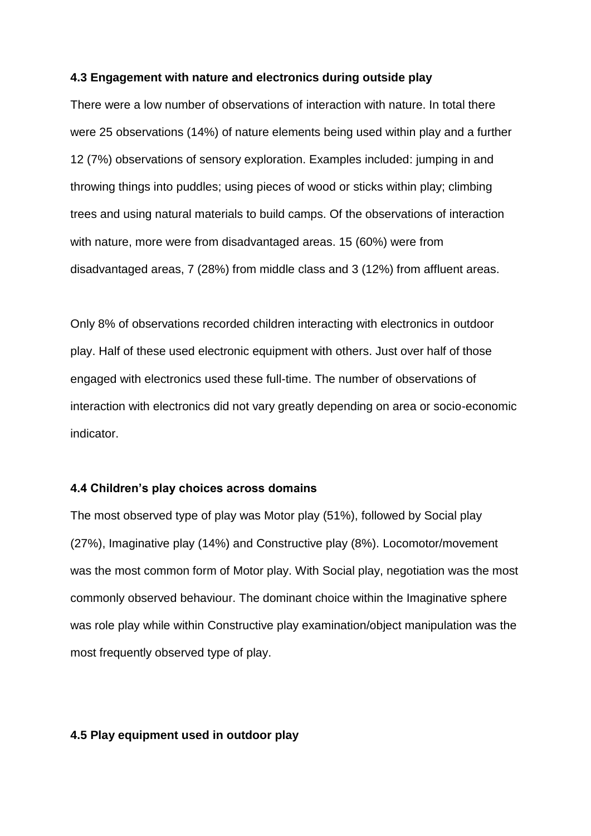#### **4.3 Engagement with nature and electronics during outside play**

There were a low number of observations of interaction with nature. In total there were 25 observations (14%) of nature elements being used within play and a further 12 (7%) observations of sensory exploration. Examples included: jumping in and throwing things into puddles; using pieces of wood or sticks within play; climbing trees and using natural materials to build camps. Of the observations of interaction with nature, more were from disadvantaged areas. 15 (60%) were from disadvantaged areas, 7 (28%) from middle class and 3 (12%) from affluent areas.

Only 8% of observations recorded children interacting with electronics in outdoor play. Half of these used electronic equipment with others. Just over half of those engaged with electronics used these full-time. The number of observations of interaction with electronics did not vary greatly depending on area or socio-economic indicator.

#### **4.4 Children's play choices across domains**

The most observed type of play was Motor play (51%), followed by Social play (27%), Imaginative play (14%) and Constructive play (8%). Locomotor/movement was the most common form of Motor play. With Social play, negotiation was the most commonly observed behaviour. The dominant choice within the Imaginative sphere was role play while within Constructive play examination/object manipulation was the most frequently observed type of play.

#### **4.5 Play equipment used in outdoor play**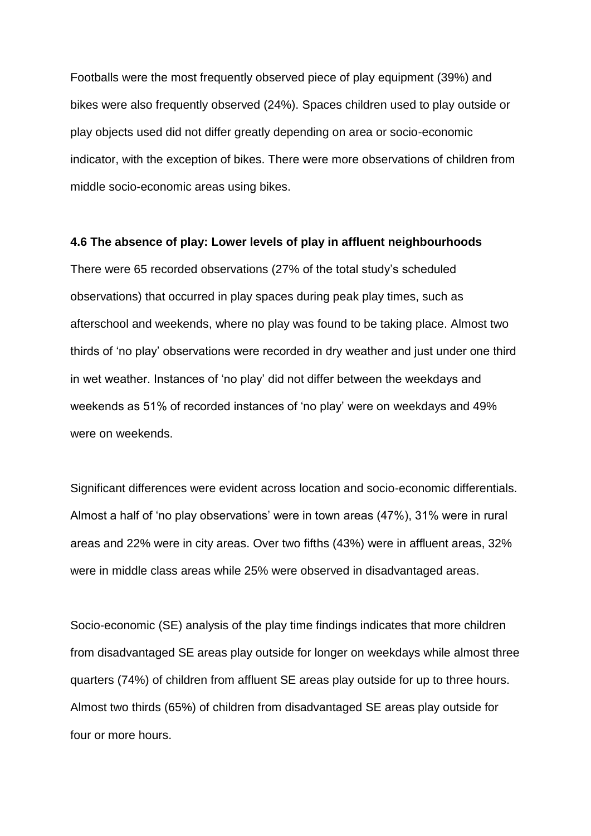Footballs were the most frequently observed piece of play equipment (39%) and bikes were also frequently observed (24%). Spaces children used to play outside or play objects used did not differ greatly depending on area or socio-economic indicator, with the exception of bikes. There were more observations of children from middle socio-economic areas using bikes.

#### **4.6 The absence of play: Lower levels of play in affluent neighbourhoods**

There were 65 recorded observations (27% of the total study's scheduled observations) that occurred in play spaces during peak play times, such as afterschool and weekends, where no play was found to be taking place. Almost two thirds of 'no play' observations were recorded in dry weather and just under one third in wet weather. Instances of 'no play' did not differ between the weekdays and weekends as 51% of recorded instances of 'no play' were on weekdays and 49% were on weekends.

Significant differences were evident across location and socio-economic differentials. Almost a half of 'no play observations' were in town areas (47%), 31% were in rural areas and 22% were in city areas. Over two fifths (43%) were in affluent areas, 32% were in middle class areas while 25% were observed in disadvantaged areas.

Socio-economic (SE) analysis of the play time findings indicates that more children from disadvantaged SE areas play outside for longer on weekdays while almost three quarters (74%) of children from affluent SE areas play outside for up to three hours. Almost two thirds (65%) of children from disadvantaged SE areas play outside for four or more hours.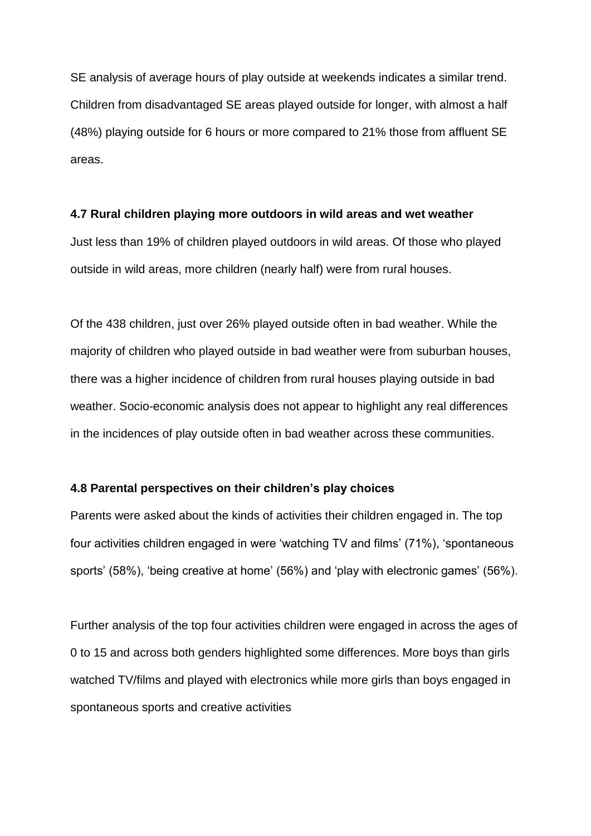SE analysis of average hours of play outside at weekends indicates a similar trend. Children from disadvantaged SE areas played outside for longer, with almost a half (48%) playing outside for 6 hours or more compared to 21% those from affluent SE areas.

#### **4.7 Rural children playing more outdoors in wild areas and wet weather**

Just less than 19% of children played outdoors in wild areas. Of those who played outside in wild areas, more children (nearly half) were from rural houses.

Of the 438 children, just over 26% played outside often in bad weather. While the majority of children who played outside in bad weather were from suburban houses, there was a higher incidence of children from rural houses playing outside in bad weather. Socio-economic analysis does not appear to highlight any real differences in the incidences of play outside often in bad weather across these communities.

# **4.8 Parental perspectives on their children's play choices**

Parents were asked about the kinds of activities their children engaged in. The top four activities children engaged in were 'watching TV and films' (71%), 'spontaneous sports' (58%), 'being creative at home' (56%) and 'play with electronic games' (56%).

Further analysis of the top four activities children were engaged in across the ages of 0 to 15 and across both genders highlighted some differences. More boys than girls watched TV/films and played with electronics while more girls than boys engaged in spontaneous sports and creative activities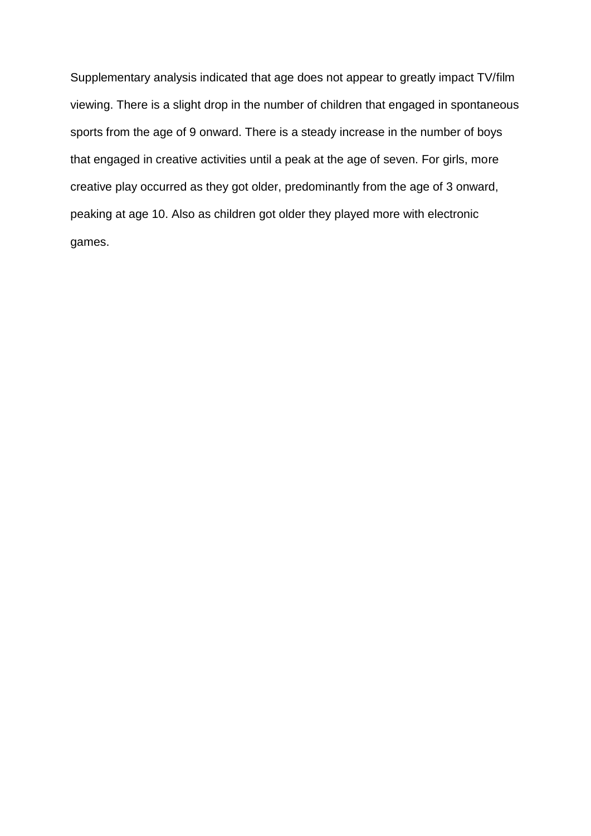Supplementary analysis indicated that age does not appear to greatly impact TV/film viewing. There is a slight drop in the number of children that engaged in spontaneous sports from the age of 9 onward. There is a steady increase in the number of boys that engaged in creative activities until a peak at the age of seven. For girls, more creative play occurred as they got older, predominantly from the age of 3 onward, peaking at age 10. Also as children got older they played more with electronic games.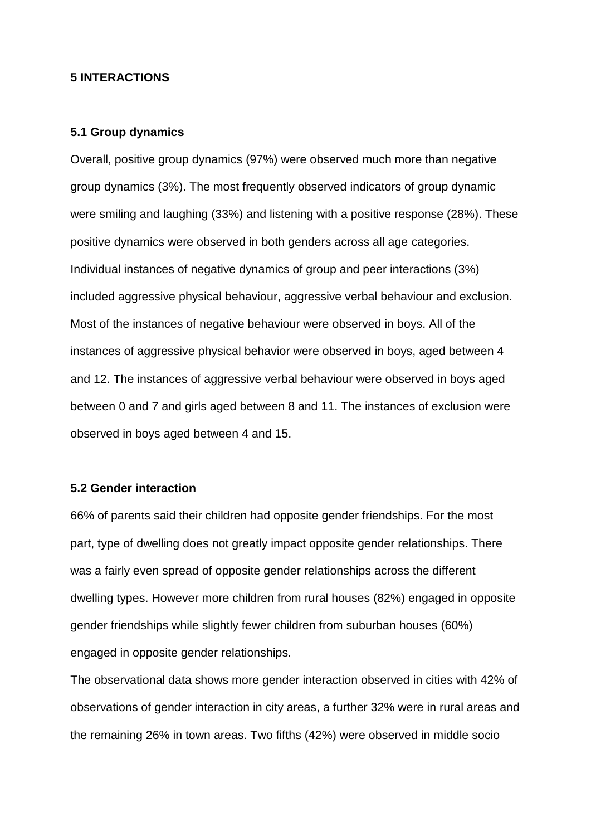### **5 INTERACTIONS**

#### **5.1 Group dynamics**

Overall, positive group dynamics (97%) were observed much more than negative group dynamics (3%). The most frequently observed indicators of group dynamic were smiling and laughing (33%) and listening with a positive response (28%). These positive dynamics were observed in both genders across all age categories. Individual instances of negative dynamics of group and peer interactions (3%) included aggressive physical behaviour, aggressive verbal behaviour and exclusion. Most of the instances of negative behaviour were observed in boys. All of the instances of aggressive physical behavior were observed in boys, aged between 4 and 12. The instances of aggressive verbal behaviour were observed in boys aged between 0 and 7 and girls aged between 8 and 11. The instances of exclusion were observed in boys aged between 4 and 15.

# **5.2 Gender interaction**

66% of parents said their children had opposite gender friendships. For the most part, type of dwelling does not greatly impact opposite gender relationships. There was a fairly even spread of opposite gender relationships across the different dwelling types. However more children from rural houses (82%) engaged in opposite gender friendships while slightly fewer children from suburban houses (60%) engaged in opposite gender relationships.

The observational data shows more gender interaction observed in cities with 42% of observations of gender interaction in city areas, a further 32% were in rural areas and the remaining 26% in town areas. Two fifths (42%) were observed in middle socio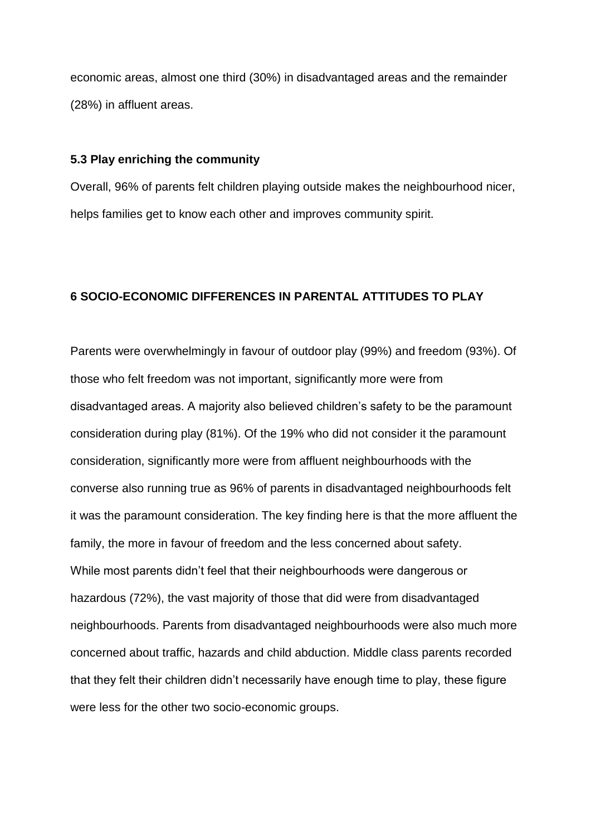economic areas, almost one third (30%) in disadvantaged areas and the remainder (28%) in affluent areas.

#### **5.3 Play enriching the community**

Overall, 96% of parents felt children playing outside makes the neighbourhood nicer, helps families get to know each other and improves community spirit.

#### **6 SOCIO-ECONOMIC DIFFERENCES IN PARENTAL ATTITUDES TO PLAY**

Parents were overwhelmingly in favour of outdoor play (99%) and freedom (93%). Of those who felt freedom was not important, significantly more were from disadvantaged areas. A majority also believed children's safety to be the paramount consideration during play (81%). Of the 19% who did not consider it the paramount consideration, significantly more were from affluent neighbourhoods with the converse also running true as 96% of parents in disadvantaged neighbourhoods felt it was the paramount consideration. The key finding here is that the more affluent the family, the more in favour of freedom and the less concerned about safety. While most parents didn't feel that their neighbourhoods were dangerous or hazardous (72%), the vast majority of those that did were from disadvantaged neighbourhoods. Parents from disadvantaged neighbourhoods were also much more concerned about traffic, hazards and child abduction. Middle class parents recorded that they felt their children didn't necessarily have enough time to play, these figure were less for the other two socio-economic groups.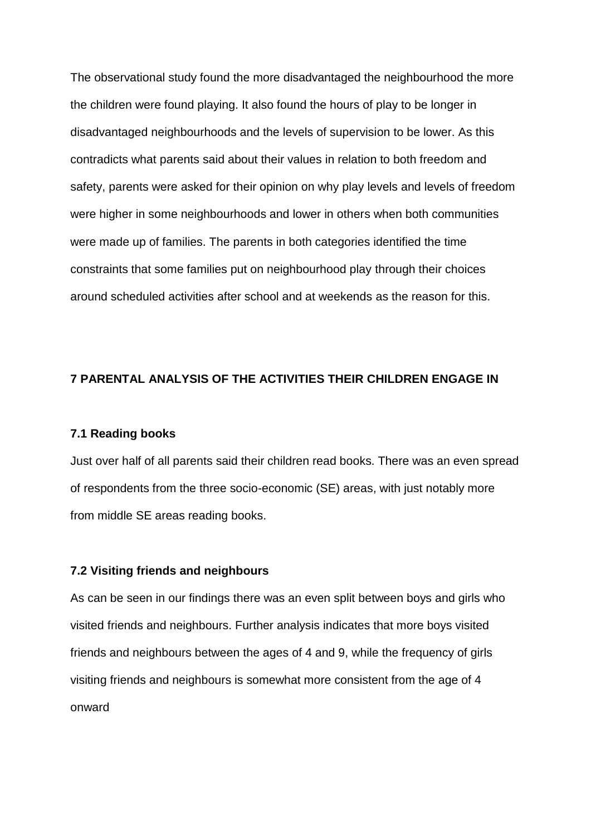The observational study found the more disadvantaged the neighbourhood the more the children were found playing. It also found the hours of play to be longer in disadvantaged neighbourhoods and the levels of supervision to be lower. As this contradicts what parents said about their values in relation to both freedom and safety, parents were asked for their opinion on why play levels and levels of freedom were higher in some neighbourhoods and lower in others when both communities were made up of families. The parents in both categories identified the time constraints that some families put on neighbourhood play through their choices around scheduled activities after school and at weekends as the reason for this.

# **7 PARENTAL ANALYSIS OF THE ACTIVITIES THEIR CHILDREN ENGAGE IN**

#### **7.1 Reading books**

Just over half of all parents said their children read books. There was an even spread of respondents from the three socio-economic (SE) areas, with just notably more from middle SE areas reading books.

#### **7.2 Visiting friends and neighbours**

As can be seen in our findings there was an even split between boys and girls who visited friends and neighbours. Further analysis indicates that more boys visited friends and neighbours between the ages of 4 and 9, while the frequency of girls visiting friends and neighbours is somewhat more consistent from the age of 4 onward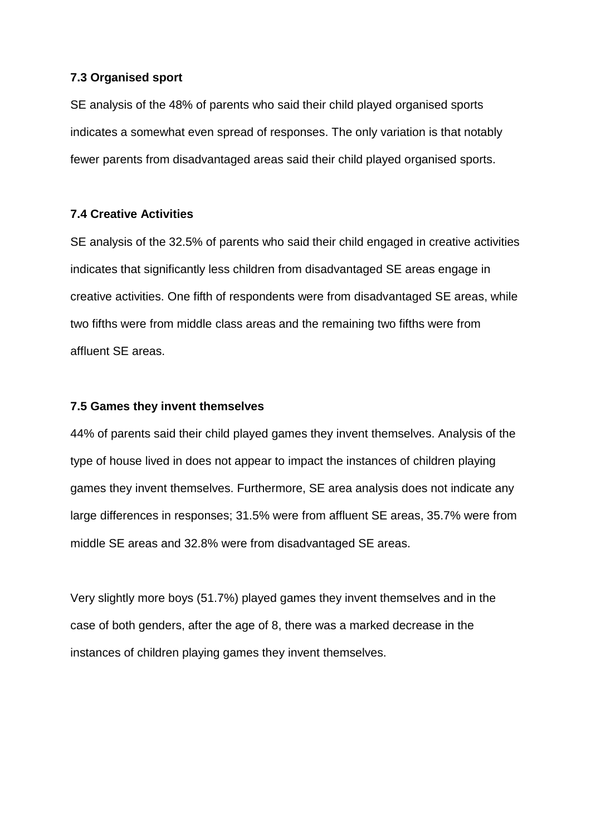#### **7.3 Organised sport**

SE analysis of the 48% of parents who said their child played organised sports indicates a somewhat even spread of responses. The only variation is that notably fewer parents from disadvantaged areas said their child played organised sports.

#### **7.4 Creative Activities**

SE analysis of the 32.5% of parents who said their child engaged in creative activities indicates that significantly less children from disadvantaged SE areas engage in creative activities. One fifth of respondents were from disadvantaged SE areas, while two fifths were from middle class areas and the remaining two fifths were from affluent SE areas.

#### **7.5 Games they invent themselves**

44% of parents said their child played games they invent themselves. Analysis of the type of house lived in does not appear to impact the instances of children playing games they invent themselves. Furthermore, SE area analysis does not indicate any large differences in responses; 31.5% were from affluent SE areas, 35.7% were from middle SE areas and 32.8% were from disadvantaged SE areas.

Very slightly more boys (51.7%) played games they invent themselves and in the case of both genders, after the age of 8, there was a marked decrease in the instances of children playing games they invent themselves.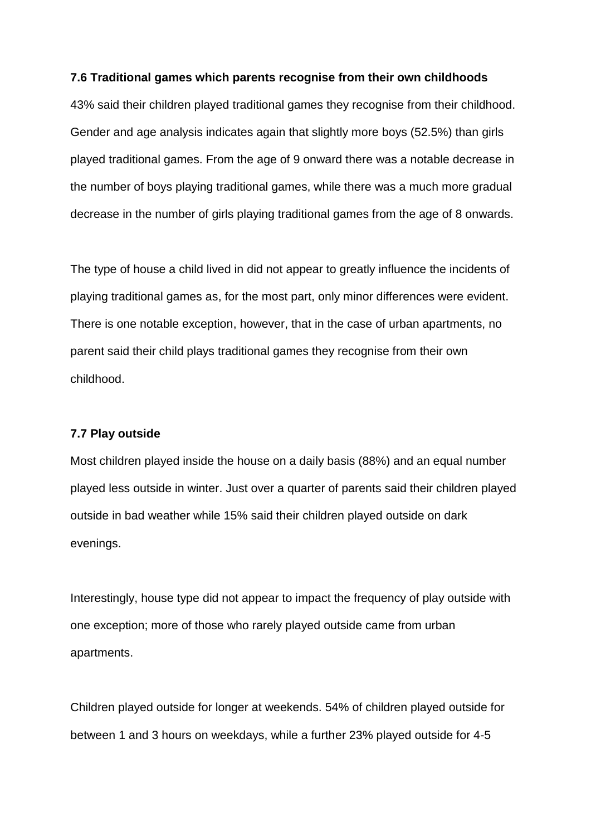#### **7.6 Traditional games which parents recognise from their own childhoods**

43% said their children played traditional games they recognise from their childhood. Gender and age analysis indicates again that slightly more boys (52.5%) than girls played traditional games. From the age of 9 onward there was a notable decrease in the number of boys playing traditional games, while there was a much more gradual decrease in the number of girls playing traditional games from the age of 8 onwards.

The type of house a child lived in did not appear to greatly influence the incidents of playing traditional games as, for the most part, only minor differences were evident. There is one notable exception, however, that in the case of urban apartments, no parent said their child plays traditional games they recognise from their own childhood.

#### **7.7 Play outside**

Most children played inside the house on a daily basis (88%) and an equal number played less outside in winter. Just over a quarter of parents said their children played outside in bad weather while 15% said their children played outside on dark evenings.

Interestingly, house type did not appear to impact the frequency of play outside with one exception; more of those who rarely played outside came from urban apartments.

Children played outside for longer at weekends. 54% of children played outside for between 1 and 3 hours on weekdays, while a further 23% played outside for 4-5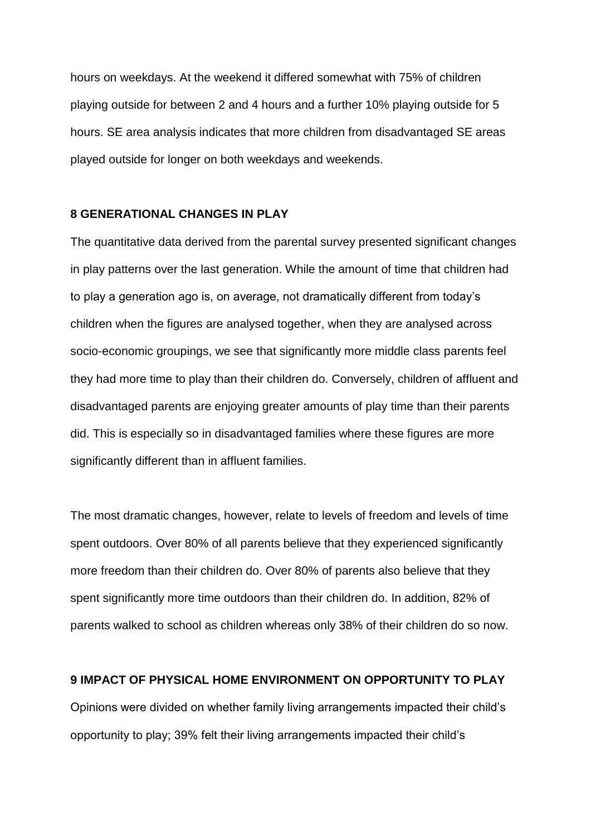hours on weekdays. At the weekend it differed somewhat with 75% of children playing outside for between 2 and 4 hours and a further 10% playing outside for 5 hours. SE area analysis indicates that more children from disadvantaged SE areas played outside for longer on both weekdays and weekends.

#### **8 GENERATIONAL CHANGES IN PLAY**

The quantitative data derived from the parental survey presented significant changes in play patterns over the last generation. While the amount of time that children had to play a generation ago is, on average, not dramatically different from today's children when the figures are analysed together, when they are analysed across socio-economic groupings, we see that significantly more middle class parents feel they had more time to play than their children do. Conversely, children of affluent and disadvantaged parents are enjoying greater amounts of play time than their parents did. This is especially so in disadvantaged families where these figures are more significantly different than in affluent families.

The most dramatic changes, however, relate to levels of freedom and levels of time spent outdoors. Over 80% of all parents believe that they experienced significantly more freedom than their children do. Over 80% of parents also believe that they spent significantly more time outdoors than their children do. In addition, 82% of parents walked to school as children whereas only 38% of their children do so now.

# **9 IMPACT OF PHYSICAL HOME ENVIRONMENT ON OPPORTUNITY TO PLAY**

Opinions were divided on whether family living arrangements impacted their child's opportunity to play; 39% felt their living arrangements impacted their child's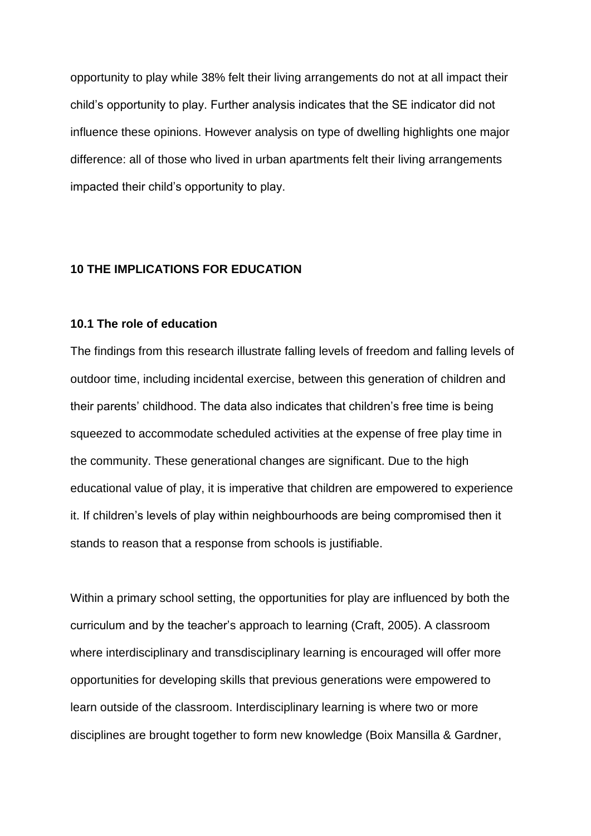opportunity to play while 38% felt their living arrangements do not at all impact their child's opportunity to play. Further analysis indicates that the SE indicator did not influence these opinions. However analysis on type of dwelling highlights one major difference: all of those who lived in urban apartments felt their living arrangements impacted their child's opportunity to play.

### **10 THE IMPLICATIONS FOR EDUCATION**

#### **10.1 The role of education**

The findings from this research illustrate falling levels of freedom and falling levels of outdoor time, including incidental exercise, between this generation of children and their parents' childhood. The data also indicates that children's free time is being squeezed to accommodate scheduled activities at the expense of free play time in the community. These generational changes are significant. Due to the high educational value of play, it is imperative that children are empowered to experience it. If children's levels of play within neighbourhoods are being compromised then it stands to reason that a response from schools is justifiable.

Within a primary school setting, the opportunities for play are influenced by both the curriculum and by the teacher's approach to learning (Craft, 2005). A classroom where interdisciplinary and transdisciplinary learning is encouraged will offer more opportunities for developing skills that previous generations were empowered to learn outside of the classroom. Interdisciplinary learning is where two or more disciplines are brought together to form new knowledge (Boix Mansilla & Gardner,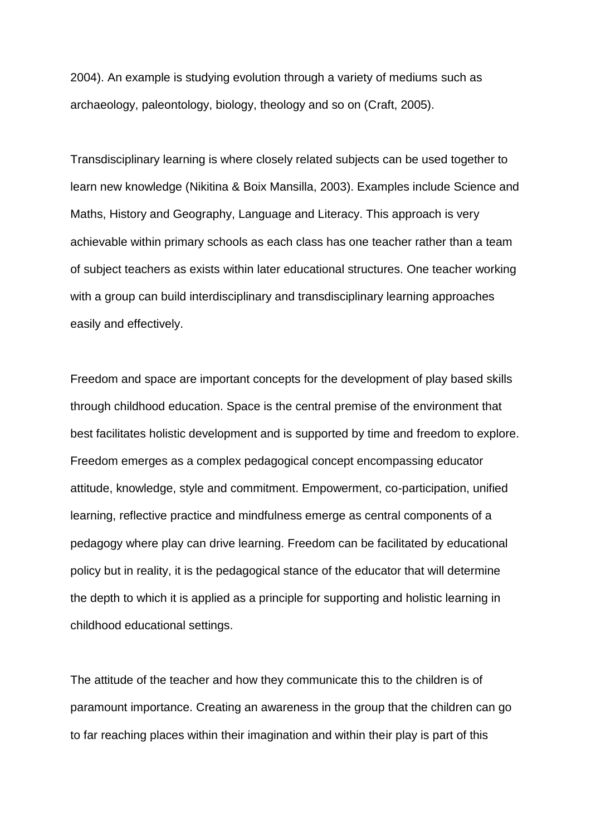2004). An example is studying evolution through a variety of mediums such as archaeology, paleontology, biology, theology and so on (Craft, 2005).

Transdisciplinary learning is where closely related subjects can be used together to learn new knowledge (Nikitina & Boix Mansilla, 2003). Examples include Science and Maths, History and Geography, Language and Literacy. This approach is very achievable within primary schools as each class has one teacher rather than a team of subject teachers as exists within later educational structures. One teacher working with a group can build interdisciplinary and transdisciplinary learning approaches easily and effectively.

Freedom and space are important concepts for the development of play based skills through childhood education. Space is the central premise of the environment that best facilitates holistic development and is supported by time and freedom to explore. Freedom emerges as a complex pedagogical concept encompassing educator attitude, knowledge, style and commitment. Empowerment, co-participation, unified learning, reflective practice and mindfulness emerge as central components of a pedagogy where play can drive learning. Freedom can be facilitated by educational policy but in reality, it is the pedagogical stance of the educator that will determine the depth to which it is applied as a principle for supporting and holistic learning in childhood educational settings.

The attitude of the teacher and how they communicate this to the children is of paramount importance. Creating an awareness in the group that the children can go to far reaching places within their imagination and within their play is part of this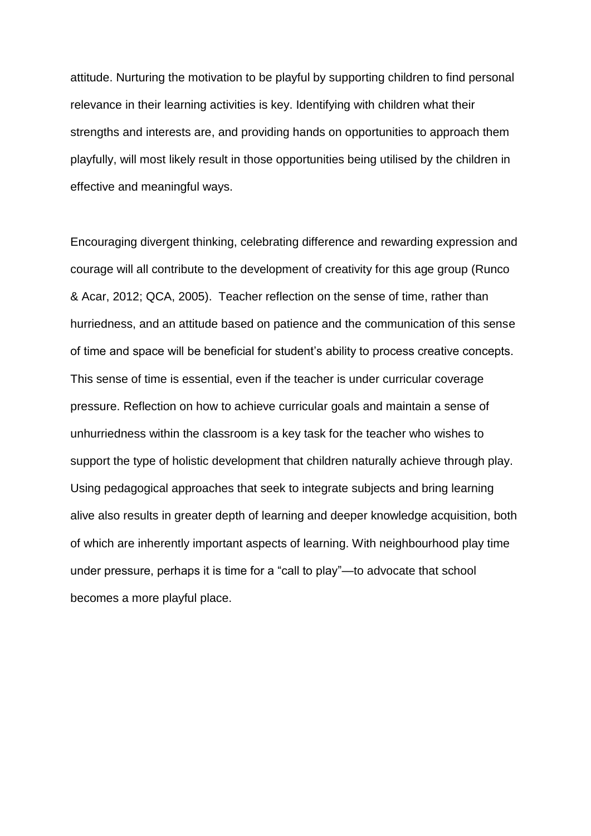attitude. Nurturing the motivation to be playful by supporting children to find personal relevance in their learning activities is key. Identifying with children what their strengths and interests are, and providing hands on opportunities to approach them playfully, will most likely result in those opportunities being utilised by the children in effective and meaningful ways.

Encouraging divergent thinking, celebrating difference and rewarding expression and courage will all contribute to the development of creativity for this age group (Runco & Acar, 2012; QCA, 2005). Teacher reflection on the sense of time, rather than hurriedness, and an attitude based on patience and the communication of this sense of time and space will be beneficial for student's ability to process creative concepts. This sense of time is essential, even if the teacher is under curricular coverage pressure. Reflection on how to achieve curricular goals and maintain a sense of unhurriedness within the classroom is a key task for the teacher who wishes to support the type of holistic development that children naturally achieve through play. Using pedagogical approaches that seek to integrate subjects and bring learning alive also results in greater depth of learning and deeper knowledge acquisition, both of which are inherently important aspects of learning. With neighbourhood play time under pressure, perhaps it is time for a "call to play"—to advocate that school becomes a more playful place.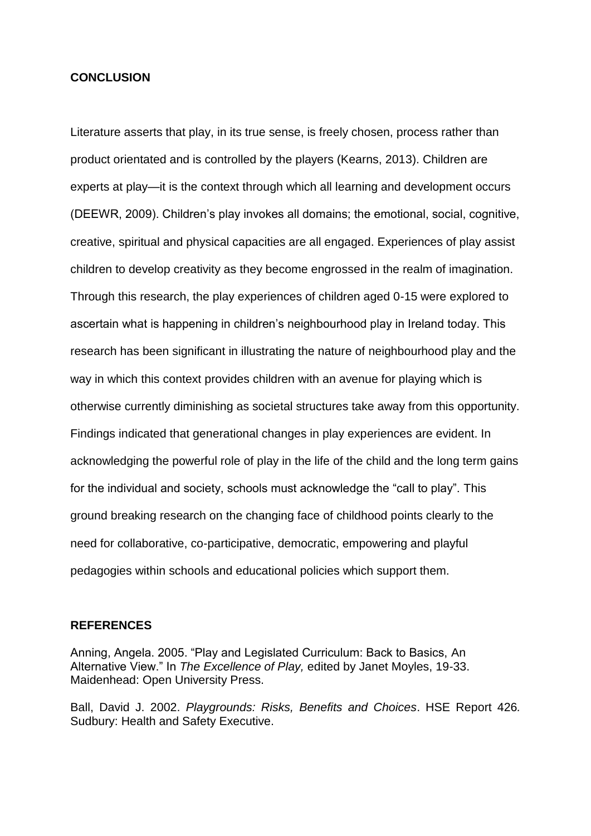#### **CONCLUSION**

Literature asserts that play, in its true sense, is freely chosen, process rather than product orientated and is controlled by the players (Kearns, 2013). Children are experts at play—it is the context through which all learning and development occurs (DEEWR, 2009). Children's play invokes all domains; the emotional, social, cognitive, creative, spiritual and physical capacities are all engaged. Experiences of play assist children to develop creativity as they become engrossed in the realm of imagination. Through this research, the play experiences of children aged 0-15 were explored to ascertain what is happening in children's neighbourhood play in Ireland today. This research has been significant in illustrating the nature of neighbourhood play and the way in which this context provides children with an avenue for playing which is otherwise currently diminishing as societal structures take away from this opportunity. Findings indicated that generational changes in play experiences are evident. In acknowledging the powerful role of play in the life of the child and the long term gains for the individual and society, schools must acknowledge the "call to play". This ground breaking research on the changing face of childhood points clearly to the need for collaborative, co-participative, democratic, empowering and playful pedagogies within schools and educational policies which support them.

### **REFERENCES**

Anning, Angela. 2005. "Play and Legislated Curriculum: Back to Basics, An Alternative View." In *The Excellence of Play,* edited by Janet Moyles, 19-33. Maidenhead: Open University Press.

Ball, David J. 2002. *Playgrounds: Risks, Benefits and Choices*. HSE Report 426*.* Sudbury: Health and Safety Executive.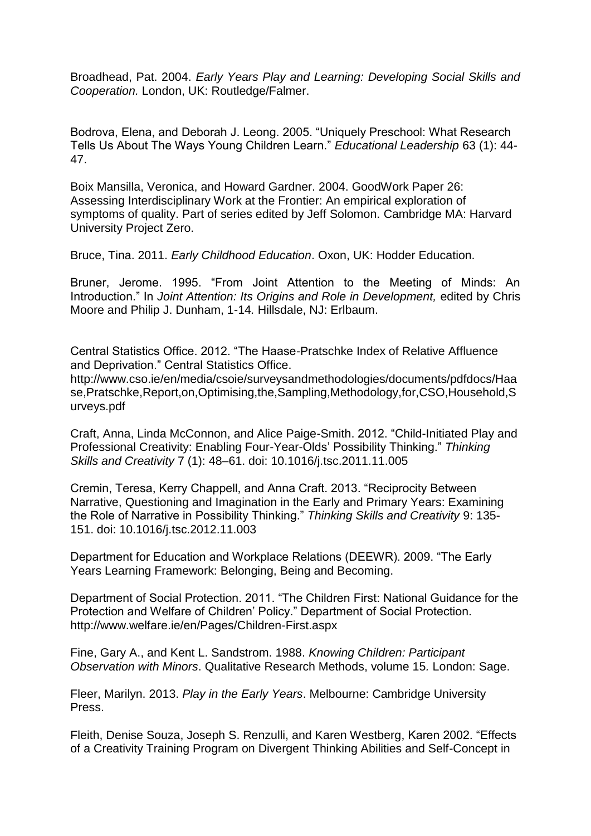Broadhead, Pat. 2004. *Early Years Play and Learning: Developing Social Skills and Cooperation.* London, UK: Routledge/Falmer.

Bodrova, Elena, and Deborah J. Leong. 2005. "Uniquely Preschool: What Research Tells Us About The Ways Young Children Learn." *Educational Leadership* 63 (1): 44- 47.

Boix Mansilla, Veronica, and Howard Gardner. 2004. GoodWork Paper 26: Assessing Interdisciplinary Work at the Frontier: An empirical exploration of symptoms of quality. Part of series edited by Jeff Solomon. Cambridge MA: Harvard University Project Zero.

Bruce, Tina. 2011. *Early Childhood Education*. Oxon, UK: Hodder Education.

Bruner, Jerome. 1995. "From Joint Attention to the Meeting of Minds: An Introduction." In *Joint Attention: Its Origins and Role in Development*, edited by Chris Moore and Philip J. Dunham, 1-14*.* Hillsdale, NJ: Erlbaum.

Central Statistics Office. 2012. "The Haase-Pratschke Index of Relative Affluence and Deprivation." Central Statistics Office.

[http://www.cso.ie/en/media/csoie/surveysandmethodologies/documents/pdfdocs/Haa](http://www.cso.ie/en/media/csoie/surveysandmethodologies/documents/pdfdocs/Haase,Pratschke,Report,on,Optimising,the,Sampling,Methodology,for,CSO,Household,Surveys.pdf) [se,Pratschke,Report,on,Optimising,the,Sampling,Methodology,for,CSO,Household,S](http://www.cso.ie/en/media/csoie/surveysandmethodologies/documents/pdfdocs/Haase,Pratschke,Report,on,Optimising,the,Sampling,Methodology,for,CSO,Household,Surveys.pdf) [urveys.pdf](http://www.cso.ie/en/media/csoie/surveysandmethodologies/documents/pdfdocs/Haase,Pratschke,Report,on,Optimising,the,Sampling,Methodology,for,CSO,Household,Surveys.pdf)

Craft, Anna, Linda McConnon, and Alice Paige-Smith. 2012. "Child-Initiated Play and Professional Creativity: Enabling Four-Year-Olds' Possibility Thinking." *Thinking Skills and Creativity* 7 (1): 48–61. doi: 10.1016/j.tsc.2011.11.005

Cremin, Teresa, Kerry Chappell, and Anna Craft. 2013. "Reciprocity Between Narrative, Questioning and Imagination in the Early and Primary Years: Examining the Role of Narrative in Possibility Thinking." *Thinking Skills and Creativity* 9: 135- 151. doi: 10.1016/j.tsc.2012.11.003

Department for Education and Workplace Relations (DEEWR). 2009. "The Early Years Learning Framework: Belonging, Being and Becoming.

Department of Social Protection. 2011. "The Children First: National Guidance for the Protection and Welfare of Children' Policy." Department of Social Protection. <http://www.welfare.ie/en/Pages/Children-First.aspx>

Fine, Gary A., and Kent L. Sandstrom. 1988. *Knowing Children: Participant Observation with Minors*. Qualitative Research Methods, volume 15*.* London: Sage.

Fleer, Marilyn. 2013. *Play in the Early Years*. Melbourne: Cambridge University Press.

Fleith, Denise Souza, Joseph S. Renzulli, and Karen Westberg, Karen 2002. "Effects of a Creativity Training Program on Divergent Thinking Abilities and Self-Concept in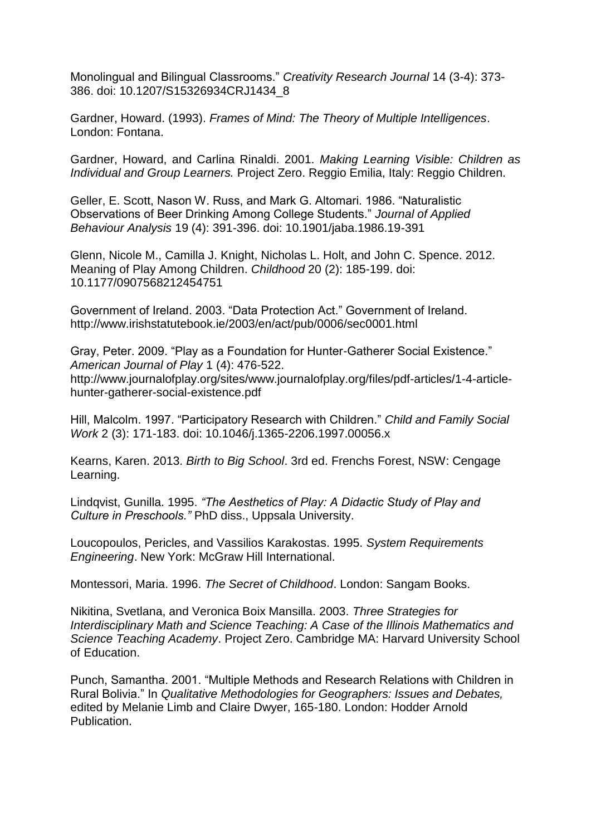Monolingual and Bilingual Classrooms." *Creativity Research Journal* 14 (3-4): 373- 386. doi: 10.1207/S15326934CRJ1434\_8

Gardner, Howard. (1993). *Frames of Mind: The Theory of Multiple Intelligences*. London: Fontana.

Gardner, Howard, and Carlina Rinaldi. 2001. *Making Learning Visible: Children as Individual and Group Learners.* Project Zero. Reggio Emilia, Italy: Reggio Children.

Geller, E. Scott, Nason W. Russ, and Mark G. Altomari. 1986. "Naturalistic Observations of Beer Drinking Among College Students." *Journal of Applied Behaviour Analysis* 19 (4): 391-396. doi: 10.1901/jaba.1986.19-391

Glenn, Nicole M., Camilla J. Knight, Nicholas L. Holt, and John C. Spence. 2012. Meaning of Play Among Children. *Childhood* 20 (2): 185-199. doi: 10.1177/0907568212454751

Government of Ireland. 2003. "Data Protection Act." Government of Ireland. <http://www.irishstatutebook.ie/2003/en/act/pub/0006/sec0001.html>

Gray, Peter. 2009. "Play as a Foundation for Hunter-Gatherer Social Existence." *American Journal of Play* 1 (4): 476-522. http://www.journalofplay.org/sites/www.journalofplay.org/files/pdf-articles/1-4-articlehunter-gatherer-social-existence.pdf

Hill, Malcolm. 1997. "Participatory Research with Children." *Child and Family Social Work* 2 (3): 171-183. doi: 10.1046/j.1365-2206.1997.00056.x

Kearns, Karen. 2013. *Birth to Big School*. 3rd ed. Frenchs Forest, NSW: Cengage Learning.

Lindqvist, Gunilla. 1995. *"The Aesthetics of Play: A Didactic Study of Play and Culture in Preschools."* PhD diss., Uppsala University.

Loucopoulos, Pericles, and Vassilios Karakostas. 1995. *System Requirements Engineering*. New York: McGraw Hill International.

Montessori, Maria. 1996. *The Secret of Childhood*. London: Sangam Books.

Nikitina, Svetlana, and Veronica Boix Mansilla. 2003. *Three Strategies for Interdisciplinary Math and Science Teaching: A Case of the Illinois Mathematics and Science Teaching Academy*. Project Zero. Cambridge MA: Harvard University School of Education.

Punch, Samantha. 2001. "Multiple Methods and Research Relations with Children in Rural Bolivia." In *Qualitative Methodologies for Geographers: Issues and Debates,*  edited by Melanie Limb and Claire Dwyer, 165-180. London: Hodder Arnold Publication.